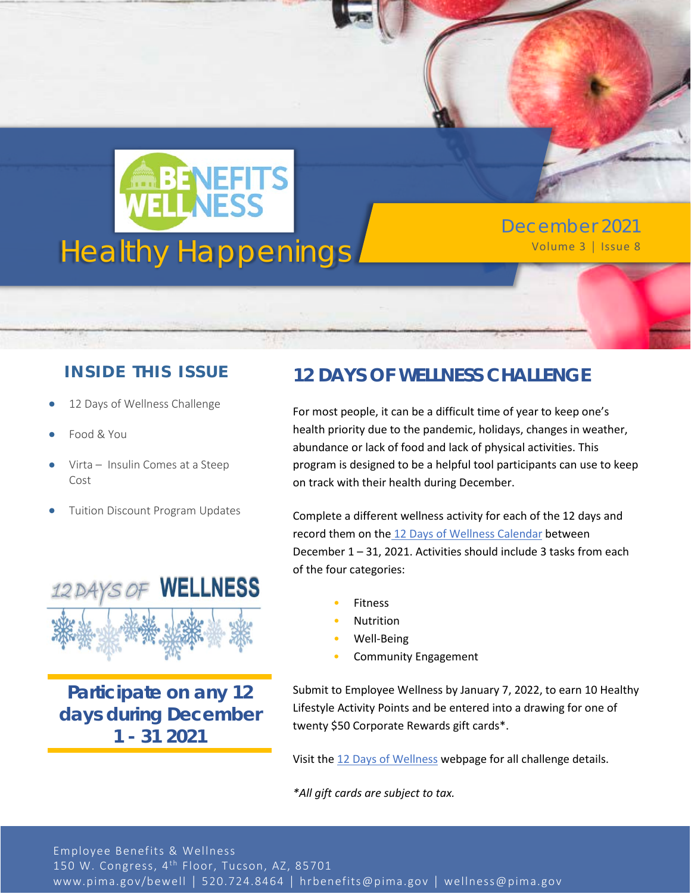

December 2021

### **INSIDE THIS ISSUE**

- 12 Days of Wellness Challenge
- Food & You
- Virta Insulin Comes at a Steep Cost
- Tuition Discount Program Updates



**Participate on any 12 days during December 1 - 31 2021**

## **12 DAYS OF WELLNESS CHALLENGE**

For most people, it can be a difficult time of year to keep one's health priority due to the pandemic, holidays, changes in weather, abundance or lack of food and lack of physical activities. This program is designed to be a helpful tool participants can use to keep on track with their health during December.

Complete a different wellness activity for each of the 12 days and record them on the [12 Days of Wellness Calendar](https://webcms.pima.gov/UserFiles/Servers/Server_6/File/Government/Human%20Resources/Wellness/12%20Days%20of%20Wellness/2021/2021%20Calendar_12%20Days%20of%20Wellness.pdf) between December 1 – 31, 2021. Activities should include 3 tasks from each of the four categories:

- **Fitness**
- **Nutrition**
- Well-Being
- Community Engagement

Submit to Employee Wellness by January 7, 2022, to earn 10 Healthy Lifestyle Activity Points and be entered into a drawing for one of twenty \$50 Corporate Rewards gift cards\*.

Visit th[e 12 Days of Wellness](https://webcms.pima.gov/cms/One.aspx?portalId=169&pageId=61838) webpage for all challenge details.

*\*All gift cards are subject to tax.*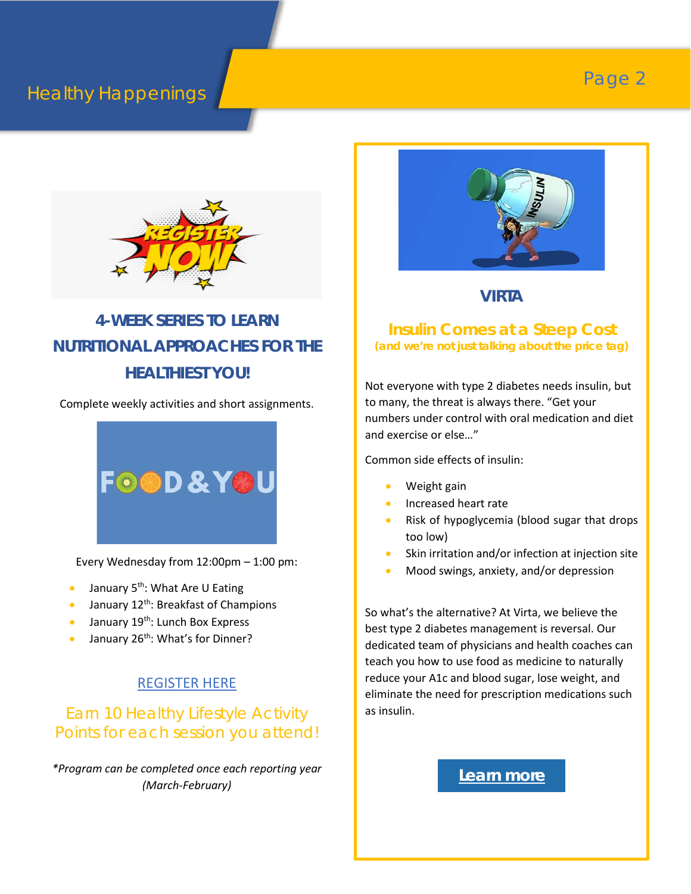# **Healthy Happenings Page 2**



# **4-WEEK SERIES TO LEARN NUTRITIONAL APPROACHES FOR THE HEALTHIEST YOU!**

Complete weekly activities and short assignments.



Every Wednesday from 12:00pm – 1:00 pm:

- January  $5^{th}$ : What Are U Eating
- January  $12^{th}$ : Breakfast of Champions
- January  $19^{th}$ : Lunch Box Express
- January 26<sup>th</sup>: What's for Dinner?

#### [REGISTER HERE](https://us02web.zoom.us/meeting/register/tZYod-6rqDIuH9GSsyrByA3gtB8pfcHBZmwq)

## Earn 10 Healthy Lifestyle Activity Points for each session you attend!

*\*Program can be completed once each reporting year (March-February)*



#### **VIRTA**

#### **Insulin Comes at a Steep Cost** *(and we're not just talking about the price tag)*

Not everyone with type 2 diabetes needs insulin, but to many, the threat is always there. "Get your numbers under control with oral medication and diet and exercise or else…"

Common side effects of insulin:

- Weight gain
- Increased heart rate
- Risk of hypoglycemia (blood sugar that drops too low)
- Skin irritation and/or infection at injection site
- Mood swings, anxiety, and/or depression

So what's the alternative? At Virta, we believe the best type 2 diabetes management is reversal. Our dedicated team of physicians and health coaches can teach you how to use food as medicine to naturally reduce your A1c and blood sugar, lose weight, and eliminate the need for prescription medications such as insulin.

#### **[Learn more](https://www.virtahealth.com/join/pimacounty?utm_source=HRemail&utm_campaign=2021-Q4-Legacy&utm_content=DiabetesAwarenessMonth&utm_medium=WP-pimacounty)**